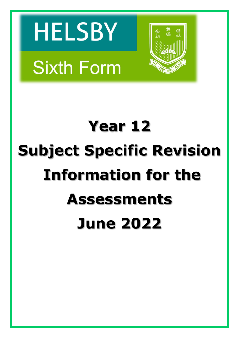# **HELSBY Sixth Form**



# **Year 12 Subject Specific Revision Information for the Assessments June 2022**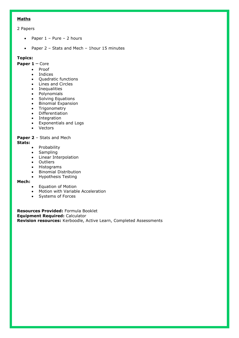# **Maths**

# 2 Papers

- Paper  $1$  Pure 2 hours
- Paper 2 Stats and Mech 1hour 15 minutes

# **Topics:**

# **Paper 1** – Core

- Proof
- Indices
- **Quadratic functions**
- Lines and Circles
- Inequalities
- Polynomials
- Solving Equations<br>• Binomial Expansion
- Binomial Expansion
- Trigonometry
- Differentiation
- Integration
- Exponentials and Logs
- Vectors

# **Paper 2** – Stats and Mech

#### **Stats:**

- Probability
- Sampling
- Linear Interpolation
- Outliers
- Histograms
- Binomial Distribution
- Hypothesis Testing

#### **Mech:**

- Equation of Motion
- Motion with Variable Acceleration
- Systems of Forces

**Resources Provided:** Formula Booklet **Equipment Required:** Calculator **Revision resources:** Kerboodle, Active Learn, Completed Assessments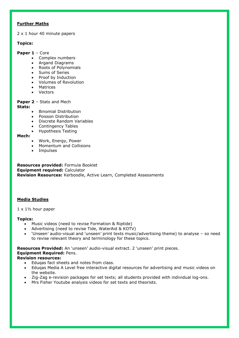# **Further Maths**

2 x 1 hour 40 minute papers

# **Topics:**

#### **Paper 1** – Core

- Complex numbers
- Argand Diagrams
- Roots of Polynomials
- Sums of Series
- Proof by Induction
- Volumes of Revolution
- Matrices
- Vectors

# **Paper 2** – Stats and Mech

#### **Stats:**

- Binomial Distribution
- Poisson Distribution
- Discrete Random Variables
- Contingency Tables
- Hypothesis Testing

#### **Mech:**

- Work, Energy, Power
- Momentum and Collisions
- Impulses

**Resources provided:** Formula Booklet **Equipment required:** Calculator **Revision Resources:** Kerboodle, Active Learn, Completed Assessments

# **Media Studies**

 $1 \times 1\frac{1}{2}$  hour paper

#### **Topics:**

- Music videos (need to revise Formation & Riptide)
- Advertising (need to revise Tide, WaterAid & KOTV)
- 'Unseen' audio-visual and 'unseen' print texts music/advertising theme) to analyse so need to revise relevant theory and terminology for these topics.

**Resources Provided:** An 'unseen' audio-visual extract. 2 'unseen' print pieces.

# **Equipment Required:** Pens.

#### **Revision resources:**

- Eduqas fact sheets and notes from class.
- Eduqas Media A Level free interactive digital resources for advertising and music videos on the website.
- Zig-Zag e-revision packages for set texts; all students provided with individual log-ons.
- Mrs Fisher Youtube analysis videos for set texts and theorists.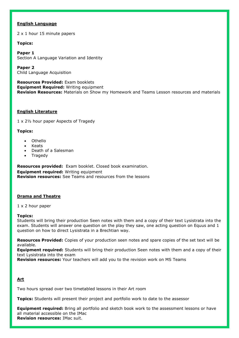#### **English Language**

2 x 1 hour 15 minute papers

#### **Topics:**

**Paper 1**  Section A Language Variation and Identity

**Paper 2** Child Language Acquisition

**Resources Provided:** Exam booklets **Equipment Required:** Writing equipment **Revision Resources:** Materials on Show my Homework and Teams Lesson resources and materials

#### **English Literature**

1 x 2½ hour paper Aspects of Tragedy

#### **Topics:**

- Othello
- Keats
- Death of a Salesman
- **Tragedy**

**Resources provided:** Exam booklet. Closed book examination. **Equipment required:** Writing equipment **Revision resources:** See Teams and resources from the lessons

#### **Drama and Theatre**

1 x 2 hour paper

#### **Topics:**

Students will bring their production Seen notes with them and a copy of their text Lysistrata into the exam. Students will answer one question on the play they saw, one acting question on Equus and 1 question on how to direct Lysistrata in a Brechtian way.

**Resources Provided:** Copies of your production seen notes and spare copies of the set text will be available.

**Equipment required:** Students will bring their production Seen notes with them and a copy of their text Lysistrata into the exam

**Revision resources:** Your teachers will add you to the revision work on MS Teams

# **Art**

Two hours spread over two timetabled lessons in their Art room

**Topics:** Students will present their project and portfolio work to date to the assessor

**Equipment required:** Bring all portfolio and sketch book work to the assessment lessons or have all material accessible on the IMac **Revision resources:** IMac suit.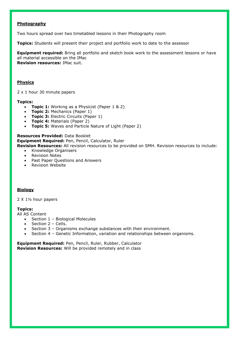#### **Photography**

Two hours spread over two timetabled lessons in their Photography room

**Topics:** Students will present their project and portfolio work to date to the assessor

**Equipment required:** Bring all portfolio and sketch book work to the assessment lessons or have all material accessible on the IMac **Revision resources:** IMac suit.

#### **Physics**

2 x 1 hour 30 minute papers

#### **Topics:**

- **Topic 1:** Working as a Physicist (Paper 1 & 2)
- **Topic 2:** Mechanics (Paper 1)
- **Topic 3:** Electric Circuits (Paper 1)
- **Topic 4:** Materials (Paper 2)
- **Topic 5:** Waves and Particle Nature of Light (Paper 2)

**Resources Provided:** Data Booklet **Equipment Required:** Pen, Pencil, Calculator, Ruler **Revision Resources:** All revision resources to be provided on SMH. Revision resources to include:

- Knowledge Organisers
- Revision Notes
- Past Paper Questions and Answers
- Revision Website

#### **Biology**

2 X 1½ hour papers

#### **Topics:**

All AS Content

- Section 1 Biological Molecules
- Section 2 Cells.
- Section 3 Organisms exchange substances with their environment.
- Section 4 Genetic Information, variation and relationships between organisms.

**Equipment Required:** Pen, Pencil, Ruler, Rubber, Calculator **Revision Resources:** Will be provided remotely and in class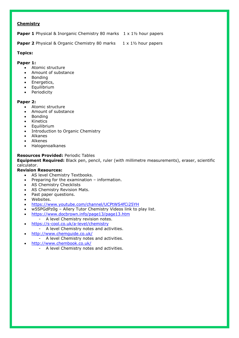### **Chemistry**

**Paper 1** Physical & Inorganic Chemistry 80 marks 1 x 1<sup>1</sup>/<sub>2</sub> hour papers

**Paper 2** Physical & Organic Chemistry 80 marks 1 x 1<sup>1</sup>/<sub>2</sub> hour papers

# **Topics:**

# **Paper 1:**

- Atomic structure
- Amount of substance
- Bonding
- Energetics,
- Equilibrium
- Periodicity

# **Paper 2:**

- Atomic structure
- Amount of substance
- Bonding
- Kinetics
- **•** Equilibrium
- Introduction to Organic Chemistry
- Alkanes
- Alkenes
- Halogenoalkanes

# **Resources Provided:** Periodic Tables

**Equipment Required:** Black pen, pencil, ruler (with millimetre measurements), eraser, scientific calculator.

# **Revision Resources:**

- AS level Chemistry Textbooks.
- Preparing for the examination information.
- AS Chemistry Checklists
- AS Chemistry Revision Mats.
- Past paper questions.
- Websites.
- <https://www.youtube.com/channel/UCPtWS4fCi25YH>
- w5SPGdPz0g Allery Tutor Chemistry Videos link to play list.
- <https://www.docbrown.info/page13/page13.htm>
	- A level Chemistry revision notes.
- <https://s-cool.co.uk/a-level/chemistry>
	- A level Chemistry notes and activities.
- <http://www.chemguide.co.uk/>
	- A level Chemistry notes and activities.
- <http://www.chembook.co.uk/>
	- A level Chemistry notes and activities.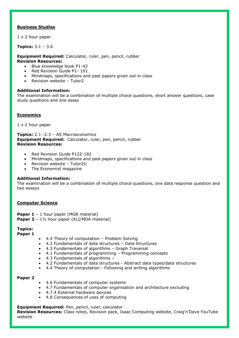#### **Business Studies**

1 x 2 hour paper

**Topics:** 3.1 – 3.6

**Equipment Required:** Calculator, ruler, pen, pencil, rubber **Revision Resources:** 

- Blue knowledge book P1-42
- Red Revision Guide P1- 101
- Mindmaps, specifications and past papers given out in class
- Revision website Tutor2

#### **Additional Information:**

The examination will be a combination of multiple choice questions, short answer questions, case study questions and one essay

#### **Economics**

1 x 2 hour paper

**Topics:** 2.1 -2.3 – AS Macroeconomics **Equipment Required:** Calculator, ruler, pen, pencil, rubber **Revision Resources:** 

- Red Revision Guide P122-182
- Mindmaps, specifications and past papers given out in class
- Revision website Tutor2U
- The Economist magazine

#### **Additional Information:**

The examination will be a combination of multiple choice questions, one data response question and two essays

#### **Computer Science**

- **Paper 1** 1 hour paper (MGR material)
- **Paper 2** 1½ hour paper (KLI/MDA material)

# **Topics:**

- **Paper 1**
- 4.4 Theory of computation Problem Solving
- 4.2 Fundamentals of data structures Data Structures
- 4.3 Fundamentals of algorithms Graph Traversal
- 4.1 Fundamentals of programming Programming concepts
- 4.3 Fundamentals of algorithms –
- 4.2 Fundamentals of data structures Abstract data types/data structures
- 4.4 Theory of computation Following and writing algorithms

#### **Paper 2**

- 4.6 Fundamentals of computer systems
- 4.7 Fundamentals of computer organisation and architecture excluding
- 4.7.4 External hardware devices
- 4.8 Consequences of uses of computing

#### **Equipment Required:** Pen, pencil, ruler, calculator

**Revision Resources:** Class notes, Revision pack, Isaac Computing website, Craig'n'Dave YouTube website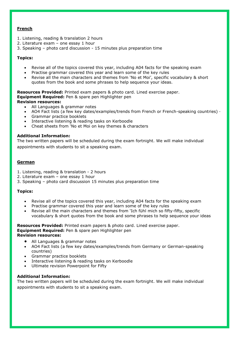# **French**

- 1. Listening, reading & translation 2 hours
- 2. Literature exam one essay 1 hour
- 3. Speaking photo card discussion 15 minutes plus preparation time

#### **Topics:**

- Revise all of the topics covered this year, including A04 facts for the speaking exam
- Practise grammar covered this year and learn some of the key rules
- Revise all the main characters and themes from 'No et Moi', specific vocabulary & short quotes from the book and some phrases to help sequence your ideas.

**Resources Provided:** Printed exam papers & photo card. Lined exercise paper. **Equipment Required:** Pen & spare pen Highlighter pen

**Revision resources:**

- All Languages & grammar notes
- AO4 Fact lists (a few key dates/examples/trends from French or French-speaking countries) ·
- Grammar practice booklets
- Interactive listening & reading tasks on Kerboodle
- Cheat sheets from 'No et Moi on key themes & characters

#### **Additional Information:**

The two written papers will be scheduled during the exam fortnight. We will make individual appointments with students to sit a speaking exam.

#### **German**

- 1. Listening, reading & translation 2 hours
- 2. Literature exam one essay 1 hour
- 3. Speaking photo card discussion 15 minutes plus preparation time

#### **Topics:**

- Revise all of the topics covered this year, including A04 facts for the speaking exam
- Practise grammar covered this year and learn some of the key rules
- Revise all the main characters and themes from 'Ich fühl mich so fifty-fifty, specific vocabulary & short quotes from the book and some phrases to help sequence your ideas

**Resources Provided:** Printed exam papers & photo card. Lined exercise paper. **Equipment Required:** Pen & spare pen Highlighter pen **Revision resources:**

- All Languages & grammar notes
- AO4 Fact lists (a few key dates/examples/trends from Germany or German-speaking countries)
- Grammar practice booklets
- Interactive listening & reading tasks on Kerboodle
- Ultimate revision Powerpoint for Fifty

#### **Additional Information:**

The two written papers will be scheduled during the exam fortnight. We will make individual appointments with students to sit a speaking exam.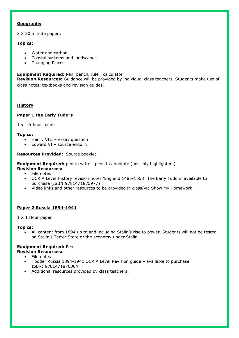#### **Geography**

3 X 30 minute papers

# **Topics:**

- Water and carbon
- Coastal systems and landscapes
- Changing Places

#### **Equipment Required:** Pen, pencil, ruler, calculator

**Revision Resources:** Guidance will be provided by individual class teachers. Students make use of class notes, textbooks and revision guides.

# **History**

# **Paper 1 the Early Tudors**

 $1 \times 1$ <sup>1</sup>/<sub>2</sub> hour paper

#### **Topics:**

- Henry VIII essay question
- Edward VI source enquiry

#### **Resources Provided:** Source booklet

**Equipment Required:** pen to write - pens to annotate (possibly highlighters)

- **Revision Resources:**
	- File notes
	- OCR A Level History revision notes 'England 1485-1558: The Early Tudors' available to purchase (ISBN:9781471875977)
	- Video links and other resources to be provided in class/via Show My Homework

#### **Paper 2 Russia 1894-1941**

#### 1 X 1 Hour paper

#### **Topics:**

 All content from 1894 up to and including Stalin's rise to power. Students will not be tested on Stalin's Terror State or the economy under Stalin.

#### **Equipment Required:** Pen **Revision Resources:**

- File notes
- Hodder Russia 1894-1941 OCR A Level Revision guide available to purchase ISBN: 9781471876004
- Additional resources provided by class teachers.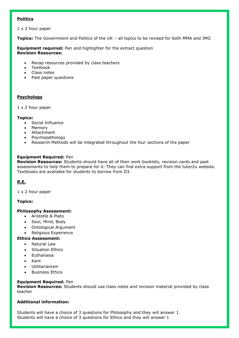# **Politics**

1 x 2 hour paper

**Topics:** The Government and Politics of the UK – all topics to be revised for both MMA and JMO

**Equipment required:** Pen and highlighter for the extract question **Revision Resources:**

- Recap resources provided by class teachers
- Textbook
- Class notes
- Past paper questions

# **Psychology**

#### 1 x 2 hour paper

#### **Topics:**

- Social Influence
- Memory
- Attachment
- Psychopathology
- Research Methods will be integrated throughout the four sections of the paper

# **Equipment Required:** Pen

**Revision Resources:** Students should have all of their work booklets, revision cards and past assessments to help them to prepare for it. They can find extra support from the tutor2u website. Textbooks are available for students to borrow from D3.

# **R.E.**

1 x 2 hour paper

#### **Topics:**

#### **Philosophy Assessment:**

- Aristotle & Plato
- Soul, Mind, Body
- Ontological Argument
- Religious Experience

# **Ethics Assessment:**

- Natural Law
- Situation Ethics
- Euthanasia
- Kant
- Utilitarianism
- Business Ethics

#### **Equipment Required:** Pen

**Revision Resources:** Students should use class notes and revision material provided by class teacher

# **Additional information:**

Students will have a choice of 3 questions for Philosophy and they will answer 1. Students will have a choice of 3 questions for Ethics and they will answer 1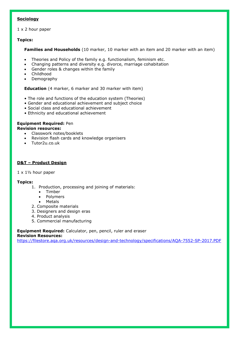# **Sociology**

## 1 x 2 hour paper

#### **Topics:**

**Families and Households** (10 marker, 10 marker with an item and 20 marker with an item)

- Theories and Policy of the family e.g. functionalism, feminism etc.
- Changing patterns and diversity e.g. divorce, marriage cohabitation
- Gender roles & changes within the family
- Childhood
- Demography

**Education** (4 marker, 6 marker and 30 marker with item)

- The role and functions of the education system (Theories)
- Gender and educational achievement and subject choice
- Social class and educational achievement
- Ethnicity and educational achievement

#### **Equipment Required:** Pen

#### **Revision resources:**

- Classwork notes/booklets
- Revision flash cards and knowledge organisers
- Tutor2u.co.uk

# **D&T – Product Design**

#### $1 \times 1$ <sup>1</sup>/<sub>2</sub> hour paper

#### **Topics:**

- 1. Production, processing and joining of materials:
	- Timber
	- Polymers
	- Metals
- 2. Composite materials
- 3. Designers and design eras
- 4. Product analysis
- 5. Commercial manufacturing

#### **Equipment Required:** Calculator, pen, pencil, ruler and eraser **Revision Resources:**

<https://filestore.aqa.org.uk/resources/design-and-technology/specifications/AQA-7552-SP-2017.PDF>